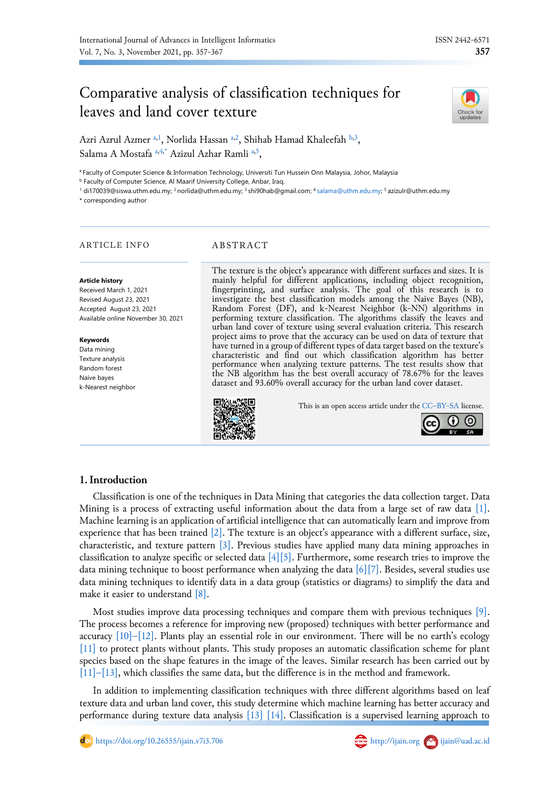

Azri Azrul Azmer <sup>[a](#page-0-0)[,1](#page-0-1)</sup>, Norlida Hassan <sup>a[,2](#page-0-2)</sup>, Shihab Hamad Khaleefah <sup>[b,](#page-0-3)[3](#page-0-4)</sup>, Salama A Mostafa [a,](#page-0-0)[4](#page-0-4)[,\\*](#page-0-5) Azizul Azh[a](#page-0-0)r Ramli a[,5](#page-0-4),

<span id="page-0-0"></span><sup>a</sup> Faculty of Computer Science & Information Technology, Universiti Tun Hussein Onn Malaysia, Johor, Malaysia

<span id="page-0-3"></span>**b Faculty of Computer Science, Al Maarif University College, Anbar, Iraq.** 

<span id="page-0-1"></span><sup>1</sup> di170039@siswa.uthm.edu.my; <sup>2</sup> norlida@uthm.edu.my; <sup>3</sup> shi90hab@gmail.com; <sup>4</sup> [salama@uthm.edu.my;](mailto:salama@uthm.edu.my) <sup>5</sup> azizulr@uthm.edu.my

<span id="page-0-5"></span>\* corresponding author

#### ARTICLE INFO<br>
ABSTRACT

**Article history**

Received March 1, 2021 Revised August 23, 2021 Accepted August 23, 2021 Available online November 30, 2021

#### **Keywords**

Data mining Texture analysis Random forest Naive bayes k-Nearest neighbor <span id="page-0-4"></span><span id="page-0-2"></span>The texture is the object's appearance with different surfaces and sizes. It is mainly helpful for different applications, including object recognition, fingerprinting, and surface analysis. The goal of this research is to investigate the best classification models among the Naive Bayes (NB), Random Forest (DF), and k-Nearest Neighbor (k-NN) algorithms in performing texture classification. The algorithms classify the leaves and urban land cover of texture using several evaluation criteria. This research project aims to prove that the accuracy can be used on data of texture that have turned in a group of different types of data target based on the texture's characteristic and find out which classification algorithm has better performance when analyzing texture patterns. The test results show that the NB algorithm has the best overall accuracy of 78.67% for the leaves dataset and 93.60% overall accuracy for the urban land cover dataset.



This is an open access article under the CC–[BY-SA](http://creativecommons.org/licenses/by-sa/4.0/) license.



## **1.Introduction**

Classification is one of the techniques in Data Mining that categories the data collection target. Data Mining is a process of extracting useful information about the data from a large set of raw data [\[1\].](#page-9-0) Machine learning is an application of artificial intelligence that can automatically learn and improve from experience that has been trained  $[2]$ . The texture is an object's appearance with a different surface, size, characteristic, and texture pattern [\[3\].](#page-9-2) Previous studies have applied many data mining approaches in classification to analyze specific or selected data  $[4][5]$ . Furthermore, some research tries to improve the data mining technique to boost performance when analyzing the data [\[6\]\[7\].](#page-9-5) Besides, several studies use data mining techniques to identify data in a data group (statistics or diagrams) to simplify the data and make it easier to understand [\[8\].](#page-9-6)

Most studies improve data processing techniques and compare them with previous techniques [\[9\].](#page-9-7) The process becomes a reference for improving new (proposed) techniques with better performance and accuracy  $[10]$ [–](#page-9-9) $[12]$ . Plants play an essential role in our environment. There will be no earth's ecology [\[11\]](#page-9-9) to protect plants without plants. This study proposes an automatic classification scheme for plant species based on the shape features in the image of the leaves. Similar research has been carried out by [\[11\]](#page-9-9)[–](#page-9-10)[\[13\],](#page-9-11) which classifies the same data, but the difference is in the method and framework.

In addition to implementing classification techniques with three different algorithms based on leaf texture data and urban land cover, this study determine which machine learning has better accuracy and performance during texture data analysis [\[13\]](#page-9-11) [\[14\].](#page-9-12) Classification is a supervised learning approach to

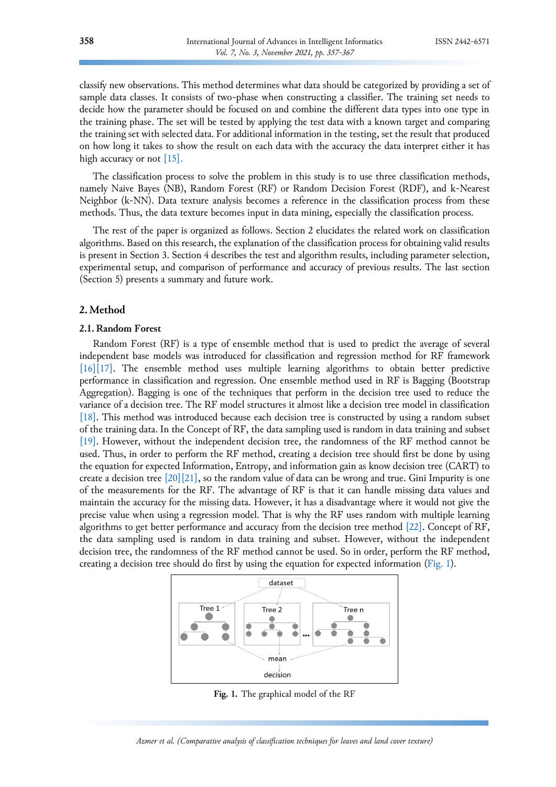classify new observations. This method determines what data should be categorized by providing a set of sample data classes. It consists of two-phase when constructing a classifier. The training set needs to decide how the parameter should be focused on and combine the different data types into one type in the training phase. The set will be tested by applying the test data with a known target and comparing the training set with selected data. For additional information in the testing, set the result that produced on how long it takes to show the result on each data with the accuracy the data interpret either it has high accuracy or not [\[15\].](#page-9-13)

The classification process to solve the problem in this study is to use three classification methods, namely Naive Bayes (NB), Random Forest (RF) or Random Decision Forest (RDF), and k-Nearest Neighbor (k-NN). Data texture analysis becomes a reference in the classification process from these methods. Thus, the data texture becomes input in data mining, especially the classification process.

The rest of the paper is organized as follows. Section 2 elucidates the related work on classification algorithms. Based on this research, the explanation of the classification process for obtaining valid results is present in Section 3. Section 4 describes the test and algorithm results, including parameter selection, experimental setup, and comparison of performance and accuracy of previous results. The last section (Section 5) presents a summary and future work.

## **2. Method**

#### **2.1. Random Forest**

Random Forest (RF) is a type of ensemble method that is used to predict the average of several independent base models was introduced for classification and regression method for RF framework [\[16\]](#page-9-14)[\[17\].](#page-10-0) The ensemble method uses multiple learning algorithms to obtain better predictive performance in classification and regression. One ensemble method used in RF is Bagging (Bootstrap Aggregation). Bagging is one of the techniques that perform in the decision tree used to reduce the variance of a decision tree. The RF model structures it almost like a decision tree model in classification [\[18\].](#page-10-1) This method was introduced because each decision tree is constructed by using a random subset of the training data. In the Concept of RF, the data sampling used is random in data training and subset [\[19\].](#page-10-2) However, without the independent decision tree, the randomness of the RF method cannot be used. Thus, in order to perform the RF method, creating a decision tree should first be done by using the equation for expected Information, Entropy, and information gain as know decision tree (CART) to create a decision tree  $[20][21]$  $[20][21]$ , so the random value of data can be wrong and true. Gini Impurity is one of the measurements for the RF. The advantage of RF is that it can handle missing data values and maintain the accuracy for the missing data. However, it has a disadvantage where it would not give the precise value when using a regression model. That is why the RF uses random with multiple learning algorithms to get better performance and accuracy from the decision tree method [\[22\].](#page-10-5) Concept of RF, the data sampling used is random in data training and subset. However, without the independent decision tree, the randomness of the RF method cannot be used. So in order, perform the RF method, creating a decision tree should do first by using the equation for expected information [\(Fig. 1\)](#page-1-0).



<span id="page-1-0"></span>**Fig. 1.** The graphical model of the RF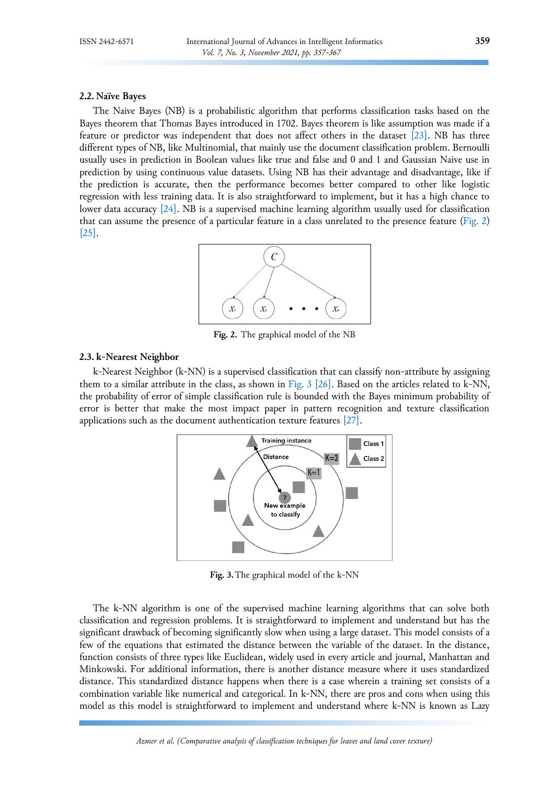#### **2.2. Naïve Bayes**

The Naive Bayes (NB) is a probabilistic algorithm that performs classification tasks based on the Bayes theorem that Thomas Bayes introduced in 1702. Bayes theorem is like assumption was made if a feature or predictor was independent that does not affect others in the dataset [\[23\].](#page-10-6) NB has three different types of NB, like Multinomial, that mainly use the document classification problem. Bernoulli usually uses in prediction in Boolean values like true and false and 0 and 1 and Gaussian Naive use in prediction by using continuous value datasets. Using NB has their advantage and disadvantage, like if the prediction is accurate, then the performance becomes better compared to other like logistic regression with less training data. It is also straightforward to implement, but it has a high chance to lower data accuracy [\[24\].](#page-10-7) NB is a supervised machine learning algorithm usually used for classification that can assume the presence of a particular feature in a class unrelated to the presence feature [\(Fig. 2\)](#page-2-0) [\[25\].](#page-10-8)



<span id="page-2-0"></span>**Fig. 2.** The graphical model of the NB

#### **2.3. k-Nearest Neighbor**

k-Nearest Neighbor (k-NN) is a supervised classification that can classify non-attribute by assigning them to a similar attribute in the class, as shown in [Fig.](#page-2-1) 3 [\[26\].](#page-10-9) Based on the articles related to k-NN, the probability of error of simple classification rule is bounded with the Bayes minimum probability of error is better that make the most impact paper in pattern recognition and texture classification applications such as the document authentication texture features [\[27\].](#page-10-10)



<span id="page-2-1"></span>**Fig. 3.**The graphical model of the k-NN

The k-NN algorithm is one of the supervised machine learning algorithms that can solve both classification and regression problems. It is straightforward to implement and understand but has the significant drawback of becoming significantly slow when using a large dataset. This model consists of a few of the equations that estimated the distance between the variable of the dataset. In the distance, function consists of three types like Euclidean, widely used in every article and journal, Manhattan and Minkowski. For additional information, there is another distance measure where it uses standardized distance. This standardized distance happens when there is a case wherein a training set consists of a combination variable like numerical and categorical. In k-NN, there are pros and cons when using this model as this model is straightforward to implement and understand where k-NN is known as Lazy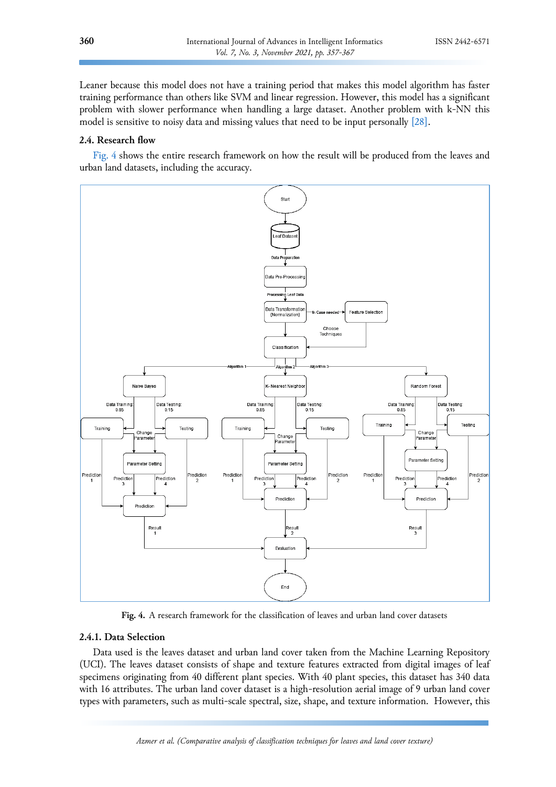Leaner because this model does not have a training period that makes this model algorithm has faster training performance than others like SVM and linear regression. However, this model has a significant problem with slower performance when handling a large dataset. Another problem with k-NN this model is sensitive to noisy data and missing values that need to be input personally [\[28\].](#page-10-11)

## **2.4. Research flow**

[Fig. 4](#page-3-0) shows the entire research framework on how the result will be produced from the leaves and urban land datasets, including the accuracy.



<span id="page-3-0"></span>**Fig. 4.** A research framework for the classification of leaves and urban land cover datasets

#### **2.4.1. Data Selection**

Data used is the leaves dataset and urban land cover taken from the Machine Learning Repository (UCI). The leaves dataset consists of shape and texture features extracted from digital images of leaf specimens originating from 40 different plant species. With 40 plant species, this dataset has 340 data with 16 attributes. The urban land cover dataset is a high-resolution aerial image of 9 urban land cover types with parameters, such as multi-scale spectral, size, shape, and texture information. However, this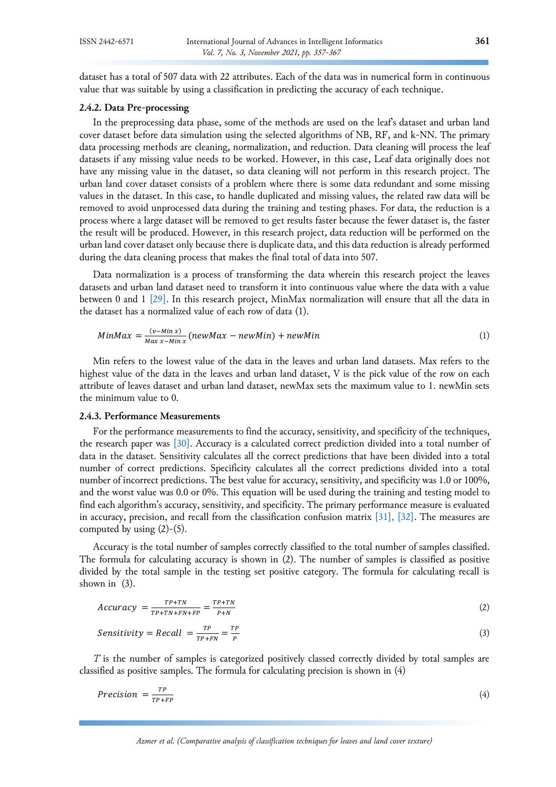dataset has a total of 507 data with 22 attributes. Each of the data was in numerical form in continuous value that was suitable by using a classification in predicting the accuracy of each technique.

## **2.4.2. Data Pre-processing**

In the preprocessing data phase, some of the methods are used on the leaf's dataset and urban land cover dataset before data simulation using the selected algorithms of NB, RF, and k-NN. The primary data processing methods are cleaning, normalization, and reduction. Data cleaning will process the leaf datasets if any missing value needs to be worked. However, in this case, Leaf data originally does not have any missing value in the dataset, so data cleaning will not perform in this research project. The urban land cover dataset consists of a problem where there is some data redundant and some missing values in the dataset. In this case, to handle duplicated and missing values, the related raw data will be removed to avoid unprocessed data during the training and testing phases. For data, the reduction is a process where a large dataset will be removed to get results faster because the fewer dataset is, the faster the result will be produced. However, in this research project, data reduction will be performed on the urban land cover dataset only because there is duplicate data, and this data reduction is already performed during the data cleaning process that makes the final total of data into 507.

Data normalization is a process of transforming the data wherein this research project the leaves datasets and urban land dataset need to transform it into continuous value where the data with a value between 0 and 1 [\[29\].](#page-10-12) In this research project, MinMax normalization will ensure that all the data in the dataset has a normalized value of each row of data (1).

$$
MinMax = \frac{(v - Min x)}{Max x - Min x} (newMax - newMin) + newMin
$$
\n(1)

Min refers to the lowest value of the data in the leaves and urban land datasets. Max refers to the highest value of the data in the leaves and urban land dataset, V is the pick value of the row on each attribute of leaves dataset and urban land dataset, newMax sets the maximum value to 1. newMin sets the minimum value to 0.

# **2.4.3. Performance Measurements**

For the performance measurements to find the accuracy, sensitivity, and specificity of the techniques, the research paper was [\[30\].](#page-10-13) Accuracy is a calculated correct prediction divided into a total number of data in the dataset. Sensitivity calculates all the correct predictions that have been divided into a total number of correct predictions. Specificity calculates all the correct predictions divided into a total number of incorrect predictions. The best value for accuracy, sensitivity, and specificity was 1.0 or 100%, and the worst value was 0.0 or 0%. This equation will be used during the training and testing model to find each algorithm's accuracy, sensitivity, and specificity. The primary performance measure is evaluated in accuracy, precision, and recall from the classification confusion matrix  $[31]$ ,  $[32]$ . The measures are computed by using  $(2)-(5)$ .

Accuracy is the total number of samples correctly classified to the total number of samples classified. The formula for calculating accuracy is shown in (2). The number of samples is classified as positive divided by the total sample in the testing set positive category. The formula for calculating recall is shown in (3).

$$
Accuracy = \frac{TP + TN}{TP + TN + FN + FP} = \frac{TP + TN}{P + N}
$$
\n<sup>(2)</sup>

$$
Sensitivity = Recall = \frac{TP}{TP+FN} = \frac{TP}{P}
$$
\n(3)

*T* is the number of samples is categorized positively classed correctly divided by total samples are classified as positive samples. The formula for calculating precision is shown in (4)

$$
Precision = \frac{TP}{TP + FP}
$$
\n<sup>(4)</sup>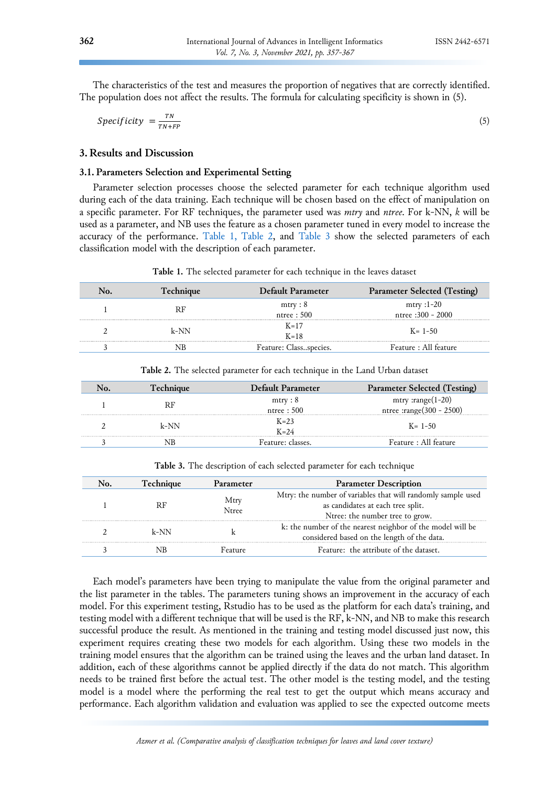The characteristics of the test and measures the proportion of negatives that are correctly identified. The population does not affect the results. The formula for calculating specificity is shown in (5).

$$
Specificity = \frac{TN}{TN+FP} \tag{5}
$$

## **3. Results and Discussion**

#### **3.1. Parameters Selection and Experimental Setting**

Parameter selection processes choose the selected parameter for each technique algorithm used during each of the data training. Each technique will be chosen based on the effect of manipulation on a specific parameter. For RF techniques, the parameter used was *mtry* and *ntree*. For k-NN, *k* will be used as a parameter, and NB uses the feature as a chosen parameter tuned in every model to increase the accuracy of the performance. [Table](#page-5-0) [1, Table 2,](#page-5-1) and [Table](#page-5-2) 3 show the selected parameters of each classification model with the description of each parameter.

<span id="page-5-0"></span>**Table 1.** The selected parameter for each technique in the leaves dataset

| <b>Technique</b> | Default Parameter      | <b>Parameter Selected (Testing)</b> |
|------------------|------------------------|-------------------------------------|
|                  | mtry: 8<br>ntree: 500  | mtry :1-20<br>ntree $:300 - 2000$   |
| k-NN             | $K=17$<br>$K=18$       | $K = 1 - 50$                        |
|                  | Feature: Classspecies. | Feature: All feature                |

| Technique | Default Parameter | Parameter Selected (Testing) |
|-----------|-------------------|------------------------------|
|           | mtry: 8           | mtry : $range(1-20)$         |
|           | ntree : 500       | ntree : range $(300 - 2500)$ |
| $k-NN$    | $K=23$            |                              |
|           | $K = 24$          | $K = 1 - 50$                 |
|           | Feature: classes. | Feature: All feature         |

<span id="page-5-1"></span>**Table 2.** The selected parameter for each technique in the Land Urban dataset

<span id="page-5-2"></span>

|  |  |  |  |  |  |  | Table 3. The description of each selected parameter for each technique |
|--|--|--|--|--|--|--|------------------------------------------------------------------------|
|--|--|--|--|--|--|--|------------------------------------------------------------------------|

| <b>Technique</b> | Parameter     | <b>Parameter Description</b>                                                                                                         |
|------------------|---------------|--------------------------------------------------------------------------------------------------------------------------------------|
| RF               | Mtry<br>Ntree | Mtry: the number of variables that will randomly sample used<br>as candidates at each tree split.<br>Ntree: the number tree to grow. |
| $k-NN$           |               | k: the number of the nearest neighbor of the model will be<br>considered based on the length of the data.                            |
|                  | Feature       | Feature: the attribute of the dataset.                                                                                               |

Each model's parameters have been trying to manipulate the value from the original parameter and the list parameter in the tables. The parameters tuning shows an improvement in the accuracy of each model. For this experiment testing, Rstudio has to be used as the platform for each data's training, and testing model with a different technique that will be used is the RF, k-NN, and NB to make this research successful produce the result. As mentioned in the training and testing model discussed just now, this experiment requires creating these two models for each algorithm. Using these two models in the training model ensures that the algorithm can be trained using the leaves and the urban land dataset. In addition, each of these algorithms cannot be applied directly if the data do not match. This algorithm needs to be trained first before the actual test. The other model is the testing model, and the testing model is a model where the performing the real test to get the output which means accuracy and performance. Each algorithm validation and evaluation was applied to see the expected outcome meets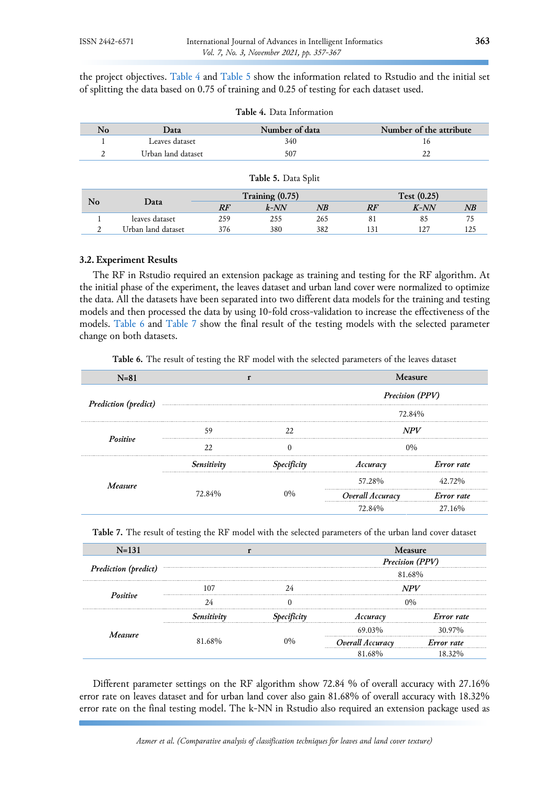the project objectives. [Table](#page-6-0) 4 and [Table](#page-6-1) 5 show the information related to Rstudio and the initial set of splitting the data based on 0.75 of training and 0.25 of testing for each dataset used.

| No             | Data                           | Number of data |         |     | Number of the attribute |         |     |  |
|----------------|--------------------------------|----------------|---------|-----|-------------------------|---------|-----|--|
|                | Leaves dataset                 |                | 340     |     | 16                      |         |     |  |
| 2              | Urban land dataset             |                | 507     |     |                         | 22      |     |  |
|                | Table 5. Data Split            |                |         |     |                         |         |     |  |
| N <sub>o</sub> | Training (0.75)<br>Test (0.25) |                |         |     |                         |         |     |  |
|                | Data                           | RF             | $k$ -NN | NB  | RF                      | $K$ -NN | NB  |  |
|                | leaves dataset                 | 259            | 255     | 265 | 81                      | 85      | 75  |  |
|                | Urban land dataset             | 376            | 380     | 382 | 131                     | 127     | 125 |  |

<span id="page-6-1"></span><span id="page-6-0"></span>

## **3.2. Experiment Results**

The RF in Rstudio required an extension package as training and testing for the RF algorithm. At the initial phase of the experiment, the leaves dataset and urban land cover were normalized to optimize the data. All the datasets have been separated into two different data models for the training and testing models and then processed the data by using 10-fold cross-validation to increase the effectiveness of the models. [Table](#page-6-2) 6 and [Table 7](#page-6-3) show the final result of the testing models with the selected parameter change on both datasets.

<span id="page-6-2"></span>**Table 6.** The result of testing the RF model with the selected parameters of the leaves dataset

| $N=81$                      |             |                    | Measure                |            |  |
|-----------------------------|-------------|--------------------|------------------------|------------|--|
| <b>Prediction</b> (predict) |             |                    | <b>Precision (PPV)</b> |            |  |
|                             |             |                    | 72.84%                 |            |  |
|                             | 59          | 22                 | <b>NPV</b>             |            |  |
| Positive                    | 22          |                    | $0\%$                  |            |  |
|                             | Sensitivity | <b>Specificity</b> | Accuracy               | Error rate |  |
| Measure                     |             |                    | 57.28%                 | 42 72%     |  |
|                             | 72.84%      | 0%                 | Overall Accuracy       | Error rate |  |
|                             |             |                    | 72.84%                 | 27.16%     |  |

<span id="page-6-3"></span>**Table 7.** The result of testing the RF model with the selected parameters of the urban land cover dataset

| $N = 131$                   | Measure |  |                        |            |  |
|-----------------------------|---------|--|------------------------|------------|--|
|                             |         |  | <b>Precision (PPV)</b> |            |  |
| <b>Prediction</b> (predict) |         |  | 81.68%                 |            |  |
|                             |         |  | <b>NPV</b>             |            |  |
| Positive                    |         |  |                        |            |  |
|                             |         |  | Accuracy               | Error rate |  |
| Measure                     |         |  | 69.03%                 | 30.97%     |  |
|                             | 81.68%  |  | Overall Accuracy       | Error rate |  |
|                             |         |  |                        |            |  |

Different parameter settings on the RF algorithm show 72.84 % of overall accuracy with 27.16% error rate on leaves dataset and for urban land cover also gain 81.68% of overall accuracy with 18.32% error rate on the final testing model. The k-NN in Rstudio also required an extension package used as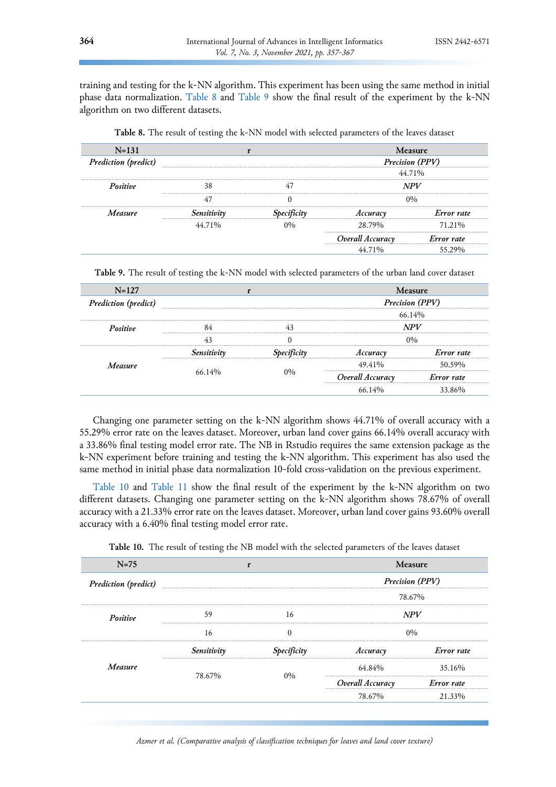training and testing for the k-NN algorithm. This experiment has been using the same method in initial phase data normalization. [Table](#page-7-0) 8 and [Table](#page-7-1) 9 show the final result of the experiment by the k-NN algorithm on two different datasets.

| $N = 131$                   |                        |  | Measure          |            |  |
|-----------------------------|------------------------|--|------------------|------------|--|
| <b>Prediction</b> (predict) | <b>Precision (PPV)</b> |  |                  |            |  |
|                             |                        |  | 44.71%           |            |  |
| Positive                    |                        |  |                  |            |  |
|                             |                        |  |                  |            |  |
| Measure                     |                        |  |                  | Error rate |  |
|                             | 44 71%                 |  | 28.79%           | 71.21%     |  |
|                             |                        |  | Overall Accuracy | Error rate |  |
|                             |                        |  |                  |            |  |

<span id="page-7-0"></span>**Table 8.** The result of testing the k-NN model with selected parameters of the leaves dataset

<span id="page-7-1"></span>**Table 9.** The result of testing the k-NN model with selected parameters of the urban land cover dataset

| $N = 127$                   | <b>Measure</b> |        |                  |            |  |
|-----------------------------|----------------|--------|------------------|------------|--|
| <b>Prediction</b> (predict) |                |        | Precision (PPV)  |            |  |
|                             |                | 66.14% |                  |            |  |
| Positive                    |                |        | <b>NPV</b>       |            |  |
|                             |                |        | 0%               |            |  |
|                             |                |        | Accuracy         | Error rate |  |
| Measure                     |                |        | 49.41%           | 50.59%     |  |
|                             | 66 $14\%$      | 10/6   | Overall Accuracy | Error rate |  |
|                             |                |        |                  | 33 86%     |  |

Changing one parameter setting on the k-NN algorithm shows 44.71% of overall accuracy with a 55.29% error rate on the leaves dataset. Moreover, urban land cover gains 66.14% overall accuracy with a 33.86% final testing model error rate. The NB in Rstudio requires the same extension package as the k-NN experiment before training and testing the k-NN algorithm. This experiment has also used the same method in initial phase data normalization 10-fold cross-validation on the previous experiment.

[Table](#page-7-2) 10 and [Table](#page-8-0) 11 show the final result of the experiment by the k-NN algorithm on two different datasets. Changing one parameter setting on the k-NN algorithm shows 78.67% of overall accuracy with a 21.33% error rate on the leaves dataset. Moreover, urban land cover gains 93.60% overall accuracy with a 6.40% final testing model error rate.

<span id="page-7-2"></span>**Table 10.** The result of testing the NB model with the selected parameters of the leaves dataset

| $N = 75$                    |                 |             | Measure          |            |  |
|-----------------------------|-----------------|-------------|------------------|------------|--|
| <b>Prediction</b> (predict) | Precision (PPV) |             |                  |            |  |
|                             |                 |             | 78.67%           |            |  |
| Positive                    | 59              | 16          | <b>NPV</b>       |            |  |
|                             | 16              |             | $0\%$            |            |  |
|                             | Sensitivity     | Specificity | Accuracy         | Error rate |  |
| Measure                     |                 |             | $64.84\%$        | 35.16%     |  |
|                             | 78.67%          | በ%          | Overall Accuracy | Error rate |  |
|                             |                 |             | 78.67%           | 21.33%     |  |

*Azmer et al. (Comparative analysis of classification techniques for leaves and land cover texture)*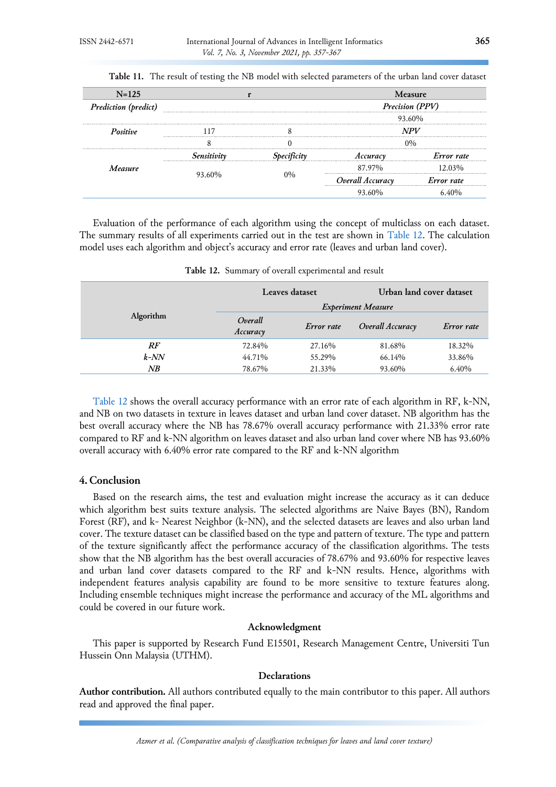| $N = 125$                   | <b>Measure</b> |    |                           |            |  |
|-----------------------------|----------------|----|---------------------------|------------|--|
| <b>Prediction</b> (predict) |                |    | Precision (PPV)<br>93.60% |            |  |
|                             |                |    |                           |            |  |
| Positive                    |                |    | NPV                       |            |  |
|                             |                |    | 0%                        |            |  |
|                             |                |    | Accuracy                  | Error rate |  |
| Measure                     |                |    | 87.97%                    | 12.03%     |  |
|                             | 93.60%         | 0% | Overall Accuracy          | Error rate |  |
|                             |                |    | 93.60%                    |            |  |

<span id="page-8-0"></span>**Table 11.** The result of testing the NB model with selected parameters of the urban land cover dataset

Evaluation of the performance of each algorithm using the concept of multiclass on each dataset. The summary results of all experiments carried out in the test are shown in [Table 12.](#page-8-1) The calculation model uses each algorithm and object's accuracy and error rate (leaves and urban land cover).

<span id="page-8-1"></span>

|           | Leaves dataset            |            | Urban land cover dataset |            |
|-----------|---------------------------|------------|--------------------------|------------|
| Algorithm | <b>Experiment Measure</b> |            |                          |            |
|           | Overall<br>Accuracy       | Error rate | Overall Accuracy         | Error rate |
| RF        | 72.84%                    | 27.16%     | 81.68%                   | 18.32%     |
| $k$ -NN   | 44.71%                    | 55.29%     | 66.14%                   | 33.86%     |
| NB        | 78.67%                    | 21.33%     | 93.60%                   | 6.40%      |

**Table 12.** Summary of overall experimental and result

[Table 12](#page-8-1) shows the overall accuracy performance with an error rate of each algorithm in RF, k-NN, and NB on two datasets in texture in leaves dataset and urban land cover dataset. NB algorithm has the best overall accuracy where the NB has 78.67% overall accuracy performance with 21.33% error rate compared to RF and k-NN algorithm on leaves dataset and also urban land cover where NB has 93.60% overall accuracy with 6.40% error rate compared to the RF and k-NN algorithm

## **4. Conclusion**

Based on the research aims, the test and evaluation might increase the accuracy as it can deduce which algorithm best suits texture analysis. The selected algorithms are Naive Bayes (BN), Random Forest (RF), and k- Nearest Neighbor (k-NN), and the selected datasets are leaves and also urban land cover. The texture dataset can be classified based on the type and pattern of texture. The type and pattern of the texture significantly affect the performance accuracy of the classification algorithms. The tests show that the NB algorithm has the best overall accuracies of 78.67% and 93.60% for respective leaves and urban land cover datasets compared to the RF and k-NN results. Hence, algorithms with independent features analysis capability are found to be more sensitive to texture features along. Including ensemble techniques might increase the performance and accuracy of the ML algorithms and could be covered in our future work.

## **Acknowledgment**

This paper is supported by Research Fund E15501, Research Management Centre, Universiti Tun Hussein Onn Malaysia (UTHM).

## **Declarations**

**Author contribution.** All authors contributed equally to the main contributor to this paper. All authors read and approved the final paper.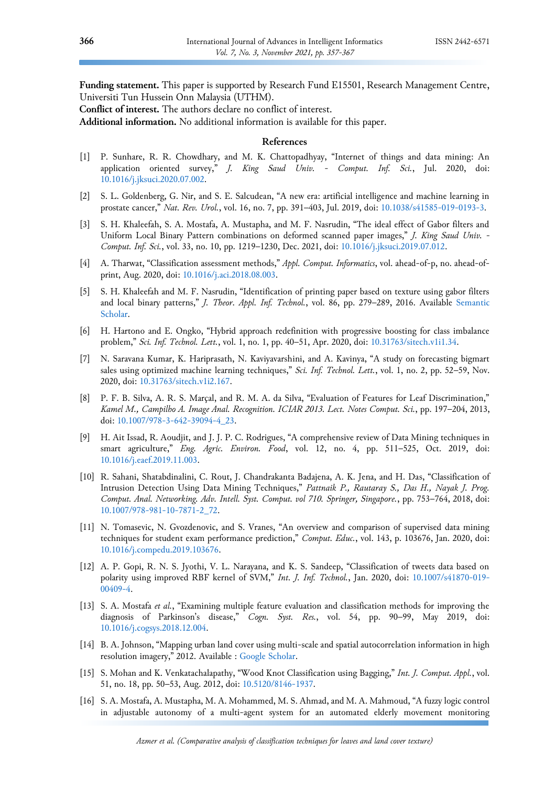**Funding statement.** This paper is supported by Research Fund E15501, Research Management Centre, Universiti Tun Hussein Onn Malaysia (UTHM).

**Conflict of interest.** The authors declare no conflict of interest.

**Additional information.** No additional information is available for this paper.

## **References**

- <span id="page-9-0"></span>[1] P. Sunhare, R. R. Chowdhary, and M. K. Chattopadhyay, "Internet of things and data mining: An application oriented survey," *J. King Saud Univ. - Comput. Inf. Sci.*, Jul. 2020, doi: [10.1016/j.jksuci.2020.07.002.](https://doi.org/10.1016/j.jksuci.2020.07.002)
- <span id="page-9-1"></span>[2] S. L. Goldenberg, G. Nir, and S. E. Salcudean, "A new era: artificial intelligence and machine learning in prostate cancer," *Nat. Rev. Urol.*, vol. 16, no. 7, pp. 391–403, Jul. 2019, doi: [10.1038/s41585-019-0193-3.](https://doi.org/10.1038/s41585-019-0193-3)
- <span id="page-9-2"></span>[3] S. H. Khaleefah, S. A. Mostafa, A. Mustapha, and M. F. Nasrudin, "The ideal effect of Gabor filters and Uniform Local Binary Pattern combinations on deformed scanned paper images," *J. King Saud Univ. - Comput. Inf. Sci.*, vol. 33, no. 10, pp. 1219–1230, Dec. 2021, doi: [10.1016/j.jksuci.2019.07.012.](https://doi.org/10.1016/j.jksuci.2019.07.012)
- <span id="page-9-3"></span>[4] A. Tharwat, "Classification assessment methods," *Appl. Comput. Informatics*, vol. ahead-of-p, no. ahead-ofprint, Aug. 2020, doi: [10.1016/j.aci.2018.08.003.](https://doi.org/10.1016/j.aci.2018.08.003)
- <span id="page-9-4"></span>[5] S. H. Khaleefah and M. F. Nasrudin, "Identification of printing paper based on texture using gabor filters and local binary patterns," *J. Theor. Appl. Inf. Technol.*, vol. 86, pp. 279–289, 2016. Available [Semantic](https://www.semanticscholar.org/paper/A-Study-Of-Bagging-And-Boosting-Approaches-To-Kumari/0643d549ee41bf218b819bd935fcc9506f6c6f3d)  [Scholar.](https://www.semanticscholar.org/paper/A-Study-Of-Bagging-And-Boosting-Approaches-To-Kumari/0643d549ee41bf218b819bd935fcc9506f6c6f3d)
- [6] H. Hartono and E. Ongko, "Hybrid approach redefinition with progressive boosting for class imbalance problem," *Sci. Inf. Technol. Lett.*, vol. 1, no. 1, pp. 40–51, Apr. 2020, doi: [10.31763/sitech.v1i1.34.](https://doi.org/10.31763/sitech.v1i1.34)
- <span id="page-9-5"></span>[7] N. Saravana Kumar, K. Hariprasath, N. Kaviyavarshini, and A. Kavinya, "A study on forecasting bigmart sales using optimized machine learning techniques," *Sci. Inf. Technol. Lett.*, vol. 1, no. 2, pp. 52–59, Nov. 2020, doi: [10.31763/sitech.v1i2.167.](https://doi.org/10.31763/sitech.v1i2.167)
- <span id="page-9-6"></span>[8] P. F. B. Silva, A. R. S. Marçal, and R. M. A. da Silva, "Evaluation of Features for Leaf Discrimination," *Kamel M., Campilho A. Image Anal. Recognition. ICIAR 2013. Lect. Notes Comput. Sci.*, pp. 197–204, 2013, doi: [10.1007/978-3-642-39094-4\\_23.](https://doi.org/10.1007/978-3-642-39094-4_23)
- <span id="page-9-7"></span>[9] H. Ait Issad, R. Aoudjit, and J. J. P. C. Rodrigues, "A comprehensive review of Data Mining techniques in smart agriculture," *Eng. Agric. Environ. Food*, vol. 12, no. 4, pp. 511–525, Oct. 2019, doi: [10.1016/j.eaef.2019.11.003.](https://doi.org/10.1016/j.eaef.2019.11.003)
- <span id="page-9-8"></span>[10] R. Sahani, Shatabdinalini, C. Rout, J. Chandrakanta Badajena, A. K. Jena, and H. Das, "Classification of Intrusion Detection Using Data Mining Techniques," *Pattnaik P., Rautaray S., Das H., Nayak J. Prog. Comput. Anal. Networking. Adv. Intell. Syst. Comput. vol 710. Springer, Singapore.*, pp. 753–764, 2018, doi: [10.1007/978-981-10-7871-2\\_72.](https://doi.org/10.1007/978-981-10-7871-2_72)
- <span id="page-9-9"></span>[11] N. Tomasevic, N. Gvozdenovic, and S. Vranes, "An overview and comparison of supervised data mining techniques for student exam performance prediction," *Comput. Educ.*, vol. 143, p. 103676, Jan. 2020, doi: [10.1016/j.compedu.2019.103676.](https://doi.org/10.1016/j.compedu.2019.103676)
- <span id="page-9-10"></span>[12] A. P. Gopi, R. N. S. Jyothi, V. L. Narayana, and K. S. Sandeep, "Classification of tweets data based on polarity using improved RBF kernel of SVM," *Int. J. Inf. Technol.*, Jan. 2020, doi: [10.1007/s41870-019-](https://doi.org/10.1007/s41870-019-00409-4) [00409-4.](https://doi.org/10.1007/s41870-019-00409-4)
- <span id="page-9-11"></span>[13] S. A. Mostafa *et al.*, "Examining multiple feature evaluation and classification methods for improving the diagnosis of Parkinson's disease," *Cogn. Syst. Res.*, vol. 54, pp. 90–99, May 2019, doi: [10.1016/j.cogsys.2018.12.004.](https://doi.org/10.1016/j.cogsys.2018.12.004)
- <span id="page-9-12"></span>[14] B. A. Johnson, "Mapping urban land cover using multi-scale and spatial autocorrelation information in high resolution imagery," 2012. Available : [Google Scholar.](https://scholar.google.co.id/scholar?hl=id&as_sdt=0%2C5&as_vis=1&q=Mapping+urban+land+cover+using+multi-scale+and+spatial+autocorrelation+information+in+high+resolution+imagery&btnG=)
- <span id="page-9-13"></span>[15] S. Mohan and K. Venkatachalapathy, "Wood Knot Classification using Bagging," *Int. J. Comput. Appl.*, vol. 51, no. 18, pp. 50–53, Aug. 2012, doi: [10.5120/8146-1937.](https://doi.org/10.5120/8146-1937)
- <span id="page-9-14"></span>[16] S. A. Mostafa, A. Mustapha, M. A. Mohammed, M. S. Ahmad, and M. A. Mahmoud, "A fuzzy logic control in adjustable autonomy of a multi-agent system for an automated elderly movement monitoring